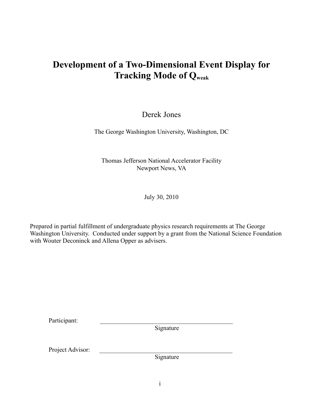# **Development of a Two-Dimensional Event Display for Tracking Mode of Qweak**

# Derek Jones

The George Washington University, Washington, DC

Thomas Jefferson National Accelerator Facility Newport News, VA

July 30, 2010

Prepared in partial fulfillment of undergraduate physics research requirements at The George Washington University. Conducted under support by a grant from the National Science Foundation with Wouter Deconinck and Allena Opper as advisers.

| Participant:     |           |  |
|------------------|-----------|--|
|                  | Signature |  |
|                  |           |  |
|                  |           |  |
| Project Advisor: |           |  |
|                  | Signature |  |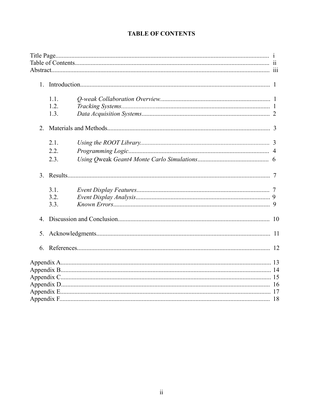## **TABLE OF CONTENTS**

|                  | 1.1.<br>1.2. |  |  |  |
|------------------|--------------|--|--|--|
|                  | 1.3.         |  |  |  |
| 2.               |              |  |  |  |
|                  | 2.1.         |  |  |  |
|                  | 22           |  |  |  |
|                  | 2.3.         |  |  |  |
| 3 <sub>1</sub>   |              |  |  |  |
|                  | 3.1.         |  |  |  |
|                  | 3.2.         |  |  |  |
|                  | 3.3.         |  |  |  |
| $\overline{4}$ . |              |  |  |  |
|                  |              |  |  |  |
| 6.               |              |  |  |  |
|                  |              |  |  |  |
|                  |              |  |  |  |
|                  |              |  |  |  |
|                  |              |  |  |  |
|                  |              |  |  |  |
|                  |              |  |  |  |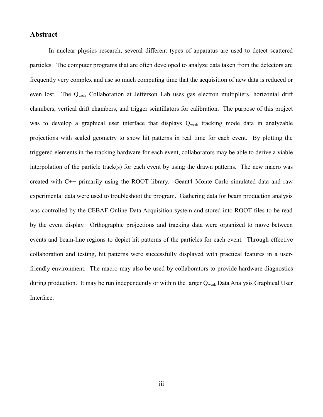#### **Abstract**

In nuclear physics research, several different types of apparatus are used to detect scattered particles. The computer programs that are often developed to analyze data taken from the detectors are frequently very complex and use so much computing time that the acquisition of new data is reduced or even lost. The Qweak Collaboration at Jefferson Lab uses gas electron multipliers, horizontal drift chambers, vertical drift chambers, and trigger scintillators for calibration. The purpose of this project was to develop a graphical user interface that displays  $Q_{weak}$  tracking mode data in analyzable projections with scaled geometry to show hit patterns in real time for each event. By plotting the triggered elements in the tracking hardware for each event, collaborators may be able to derive a viable interpolation of the particle track(s) for each event by using the drawn patterns. The new macro was created with C++ primarily using the ROOT library. Geant4 Monte Carlo simulated data and raw experimental data were used to troubleshoot the program. Gathering data for beam production analysis was controlled by the CEBAF Online Data Acquisition system and stored into ROOT files to be read by the event display. Orthographic projections and tracking data were organized to move between events and beam-line regions to depict hit patterns of the particles for each event. Through effective collaboration and testing, hit patterns were successfully displayed with practical features in a userfriendly environment. The macro may also be used by collaborators to provide hardware diagnostics during production. It may be run independently or within the larger Qweak Data Analysis Graphical User Interface.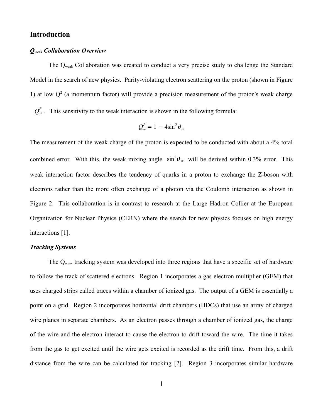## **Introduction**

#### *Qweak Collaboration Overview*

The Qweak Collaboration was created to conduct a very precise study to challenge the Standard Model in the search of new physics. Parity-violating electron scattering on the proton (shown in Figure 1) at low  $Q<sup>2</sup>$  (a momentum factor) will provide a precision measurement of the proton's weak charge

 $Q_W^P$ . This sensitivity to the weak interaction is shown in the following formula:

$$
Q_w^P = 1 - 4\sin^2\theta_w
$$

The measurement of the weak charge of the proton is expected to be conducted with about a 4% total combined error. With this, the weak mixing angle  $\sin^2\theta_W$  will be derived within 0.3% error. This weak interaction factor describes the tendency of quarks in a proton to exchange the Z-boson with electrons rather than the more often exchange of a photon via the Coulomb interaction as shown in Figure 2. This collaboration is in contrast to research at the Large Hadron Collier at the European Organization for Nuclear Physics (CERN) where the search for new physics focuses on high energy interactions [1].

#### *Tracking Systems*

The Qweak tracking system was developed into three regions that have a specific set of hardware to follow the track of scattered electrons. Region 1 incorporates a gas electron multiplier (GEM) that uses charged strips called traces within a chamber of ionized gas. The output of a GEM is essentially a point on a grid. Region 2 incorporates horizontal drift chambers (HDCs) that use an array of charged wire planes in separate chambers. As an electron passes through a chamber of ionized gas, the charge of the wire and the electron interact to cause the electron to drift toward the wire. The time it takes from the gas to get excited until the wire gets excited is recorded as the drift time. From this, a drift distance from the wire can be calculated for tracking [2]. Region 3 incorporates similar hardware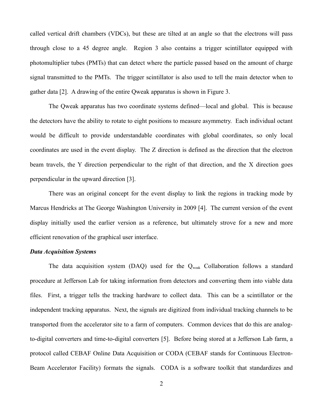called vertical drift chambers (VDCs), but these are tilted at an angle so that the electrons will pass through close to a 45 degree angle. Region 3 also contains a trigger scintillator equipped with photomultiplier tubes (PMTs) that can detect where the particle passed based on the amount of charge signal transmitted to the PMTs. The trigger scintillator is also used to tell the main detector when to gather data [2]. A drawing of the entire Qweak apparatus is shown in Figure 3.

The Qweak apparatus has two coordinate systems defined—local and global. This is because the detectors have the ability to rotate to eight positions to measure asymmetry. Each individual octant would be difficult to provide understandable coordinates with global coordinates, so only local coordinates are used in the event display. The Z direction is defined as the direction that the electron beam travels, the Y direction perpendicular to the right of that direction, and the X direction goes perpendicular in the upward direction [3].

There was an original concept for the event display to link the regions in tracking mode by Marcus Hendricks at The George Washington University in 2009 [4]. The current version of the event display initially used the earlier version as a reference, but ultimately strove for a new and more efficient renovation of the graphical user interface.

### *Data Acquisition Systems*

The data acquisition system  $(DAQ)$  used for the  $Q_{weak}$  Collaboration follows a standard procedure at Jefferson Lab for taking information from detectors and converting them into viable data files. First, a trigger tells the tracking hardware to collect data. This can be a scintillator or the independent tracking apparatus. Next, the signals are digitized from individual tracking channels to be transported from the accelerator site to a farm of computers. Common devices that do this are analogto-digital converters and time-to-digital converters [5]. Before being stored at a Jefferson Lab farm, a protocol called CEBAF Online Data Acquisition or CODA (CEBAF stands for Continuous Electron-Beam Accelerator Facility) formats the signals. CODA is a software toolkit that standardizes and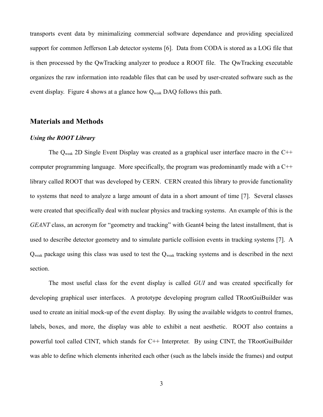transports event data by minimalizing commercial software dependance and providing specialized support for common Jefferson Lab detector systems [6]. Data from CODA is stored as a LOG file that is then processed by the QwTracking analyzer to produce a ROOT file. The QwTracking executable organizes the raw information into readable files that can be used by user-created software such as the event display. Figure 4 shows at a glance how  $Q_{weak}$  DAQ follows this path.

## **Materials and Methods**

#### *Using the ROOT Library*

The Q<sub>weak</sub> 2D Single Event Display was created as a graphical user interface macro in the C<sup>++</sup> computer programming language. More specifically, the program was predominantly made with a C++ library called ROOT that was developed by CERN. CERN created this library to provide functionality to systems that need to analyze a large amount of data in a short amount of time [7]. Several classes were created that specifically deal with nuclear physics and tracking systems. An example of this is the *GEANT* class, an acronym for "geometry and tracking" with Geant4 being the latest installment, that is used to describe detector geometry and to simulate particle collision events in tracking systems [7]. A Q<sub>weak</sub> package using this class was used to test the Q<sub>weak</sub> tracking systems and is described in the next section.

The most useful class for the event display is called *GUI* and was created specifically for developing graphical user interfaces. A prototype developing program called TRootGuiBuilder was used to create an initial mock-up of the event display. By using the available widgets to control frames, labels, boxes, and more, the display was able to exhibit a neat aesthetic. ROOT also contains a powerful tool called CINT, which stands for C++ Interpreter. By using CINT, the TRootGuiBuilder was able to define which elements inherited each other (such as the labels inside the frames) and output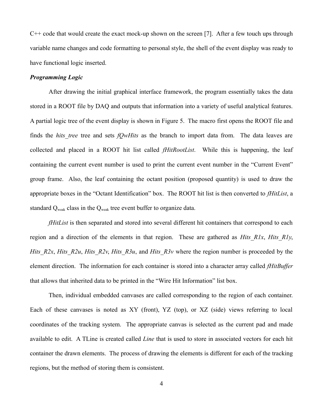$C++$  code that would create the exact mock-up shown on the screen [7]. After a few touch ups through variable name changes and code formatting to personal style, the shell of the event display was ready to have functional logic inserted.

#### *Programming Logic*

After drawing the initial graphical interface framework, the program essentially takes the data stored in a ROOT file by DAQ and outputs that information into a variety of useful analytical features. A partial logic tree of the event display is shown in Figure 5. The macro first opens the ROOT file and finds the *hits tree* tree and sets *fQwHits* as the branch to import data from. The data leaves are collected and placed in a ROOT hit list called *fHitRootList*. While this is happening, the leaf containing the current event number is used to print the current event number in the "Current Event" group frame. Also, the leaf containing the octant position (proposed quantity) is used to draw the appropriate boxes in the "Octant Identification" box. The ROOT hit list is then converted to *fHitList*, a standard Q<sub>weak</sub> class in the Q<sub>weak</sub> tree event buffer to organize data.

*fHitList* is then separated and stored into several different hit containers that correspond to each region and a direction of the elements in that region. These are gathered as *Hits\_R1x*, *Hits\_R1y*, *Hits\_R2x*, *Hits\_R2u*, *Hits\_R2v*, *Hits\_R3u*, and *Hits\_R3v* where the region number is proceeded by the element direction. The information for each container is stored into a character array called *fHitBuffer* that allows that inherited data to be printed in the "Wire Hit Information" list box.

Then, individual embedded canvases are called corresponding to the region of each container. Each of these canvases is noted as XY (front), YZ (top), or XZ (side) views referring to local coordinates of the tracking system. The appropriate canvas is selected as the current pad and made available to edit. A TLine is created called *Line* that is used to store in associated vectors for each hit container the drawn elements. The process of drawing the elements is different for each of the tracking regions, but the method of storing them is consistent.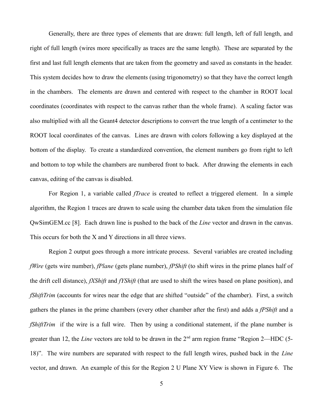Generally, there are three types of elements that are drawn: full length, left of full length, and right of full length (wires more specifically as traces are the same length). These are separated by the first and last full length elements that are taken from the geometry and saved as constants in the header. This system decides how to draw the elements (using trigonometry) so that they have the correct length in the chambers. The elements are drawn and centered with respect to the chamber in ROOT local coordinates (coordinates with respect to the canvas rather than the whole frame). A scaling factor was also multiplied with all the Geant4 detector descriptions to convert the true length of a centimeter to the ROOT local coordinates of the canvas. Lines are drawn with colors following a key displayed at the bottom of the display. To create a standardized convention, the element numbers go from right to left and bottom to top while the chambers are numbered front to back. After drawing the elements in each canvas, editing of the canvas is disabled.

For Region 1, a variable called *fTrace* is created to reflect a triggered element. In a simple algorithm, the Region 1 traces are drawn to scale using the chamber data taken from the simulation file QwSimGEM.cc [8]. Each drawn line is pushed to the back of the *Line* vector and drawn in the canvas. This occurs for both the X and Y directions in all three views.

Region 2 output goes through a more intricate process. Several variables are created including *fWire* (gets wire number), *fPlane* (gets plane number), *fPShift* (to shift wires in the prime planes half of the drift cell distance), *fXShift* and *fYShift* (that are used to shift the wires based on plane position), and *fShiftTrim* (accounts for wires near the edge that are shifted "outside" of the chamber). First, a switch gathers the planes in the prime chambers (every other chamber after the first) and adds a *fPShift* and a *fShiftTrim* if the wire is a full wire. Then by using a conditional statement, if the plane number is greater than 12, the *Line* vectors are told to be drawn in the 2<sup>nd</sup> arm region frame "Region 2—HDC (5-18)". The wire numbers are separated with respect to the full length wires, pushed back in the *Line* vector, and drawn. An example of this for the Region 2 U Plane XY View is shown in Figure 6. The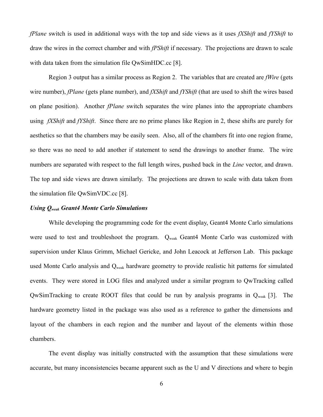*fPlane* switch is used in additional ways with the top and side views as it uses *fXShift* and *fYShift* to draw the wires in the correct chamber and with *fPShift* if necessary. The projections are drawn to scale with data taken from the simulation file QwSimHDC.cc [8].

Region 3 output has a similar process as Region 2. The variables that are created are *fWire* (gets wire number), *fPlane* (gets plane number), and *fXShift* and *fYShift* (that are used to shift the wires based on plane position). Another *fPlane* switch separates the wire planes into the appropriate chambers using *fXShift* and *fYShift*. Since there are no prime planes like Region in 2, these shifts are purely for aesthetics so that the chambers may be easily seen. Also, all of the chambers fit into one region frame, so there was no need to add another if statement to send the drawings to another frame. The wire numbers are separated with respect to the full length wires, pushed back in the *Line* vector, and drawn. The top and side views are drawn similarly. The projections are drawn to scale with data taken from the simulation file QwSimVDC.cc [8].

#### *Using Qweak Geant4 Monte Carlo Simulations*

While developing the programming code for the event display, Geant4 Monte Carlo simulations were used to test and troubleshoot the program.  $Q_{weak}$  Geant4 Monte Carlo was customized with supervision under Klaus Grimm, Michael Gericke, and John Leacock at Jefferson Lab. This package used Monte Carlo analysis and Q<sub>weak</sub> hardware geometry to provide realistic hit patterns for simulated events. They were stored in LOG files and analyzed under a similar program to QwTracking called QwSimTracking to create ROOT files that could be run by analysis programs in Qweak [3]. The hardware geometry listed in the package was also used as a reference to gather the dimensions and layout of the chambers in each region and the number and layout of the elements within those chambers.

The event display was initially constructed with the assumption that these simulations were accurate, but many inconsistencies became apparent such as the U and V directions and where to begin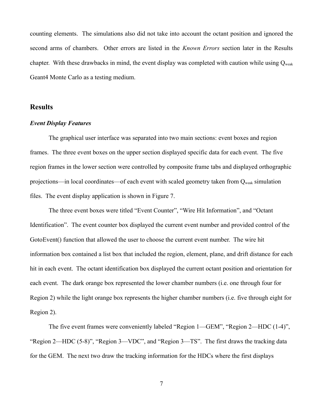counting elements. The simulations also did not take into account the octant position and ignored the second arms of chambers. Other errors are listed in the *Known Errors* section later in the Results chapter. With these drawbacks in mind, the event display was completed with caution while using  $Q_{weak}$ Geant4 Monte Carlo as a testing medium.

#### **Results**

#### *Event Display Features*

The graphical user interface was separated into two main sections: event boxes and region frames. The three event boxes on the upper section displayed specific data for each event. The five region frames in the lower section were controlled by composite frame tabs and displayed orthographic projections—in local coordinates—of each event with scaled geometry taken from  $Q_{weak}$  simulation files. The event display application is shown in Figure 7.

The three event boxes were titled "Event Counter", "Wire Hit Information", and "Octant Identification". The event counter box displayed the current event number and provided control of the GotoEvent() function that allowed the user to choose the current event number. The wire hit information box contained a list box that included the region, element, plane, and drift distance for each hit in each event. The octant identification box displayed the current octant position and orientation for each event. The dark orange box represented the lower chamber numbers (i.e. one through four for Region 2) while the light orange box represents the higher chamber numbers (i.e. five through eight for Region 2).

The five event frames were conveniently labeled "Region 1—GEM", "Region 2—HDC (1-4)", "Region 2—HDC (5-8)", "Region 3—VDC", and "Region 3—TS". The first draws the tracking data for the GEM. The next two draw the tracking information for the HDCs where the first displays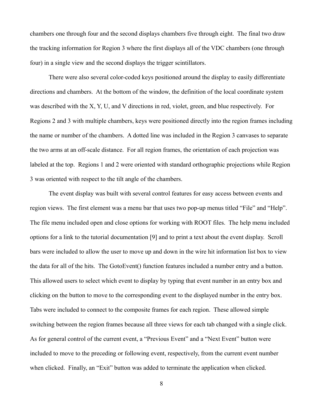chambers one through four and the second displays chambers five through eight. The final two draw the tracking information for Region 3 where the first displays all of the VDC chambers (one through four) in a single view and the second displays the trigger scintillators.

There were also several color-coded keys positioned around the display to easily differentiate directions and chambers. At the bottom of the window, the definition of the local coordinate system was described with the X, Y, U, and V directions in red, violet, green, and blue respectively. For Regions 2 and 3 with multiple chambers, keys were positioned directly into the region frames including the name or number of the chambers. A dotted line was included in the Region 3 canvases to separate the two arms at an off-scale distance. For all region frames, the orientation of each projection was labeled at the top. Regions 1 and 2 were oriented with standard orthographic projections while Region 3 was oriented with respect to the tilt angle of the chambers.

The event display was built with several control features for easy access between events and region views. The first element was a menu bar that uses two pop-up menus titled "File" and "Help". The file menu included open and close options for working with ROOT files. The help menu included options for a link to the tutorial documentation [9] and to print a text about the event display. Scroll bars were included to allow the user to move up and down in the wire hit information list box to view the data for all of the hits. The GotoEvent() function features included a number entry and a button. This allowed users to select which event to display by typing that event number in an entry box and clicking on the button to move to the corresponding event to the displayed number in the entry box. Tabs were included to connect to the composite frames for each region. These allowed simple switching between the region frames because all three views for each tab changed with a single click. As for general control of the current event, a "Previous Event" and a "Next Event" button were included to move to the preceding or following event, respectively, from the current event number when clicked. Finally, an "Exit" button was added to terminate the application when clicked.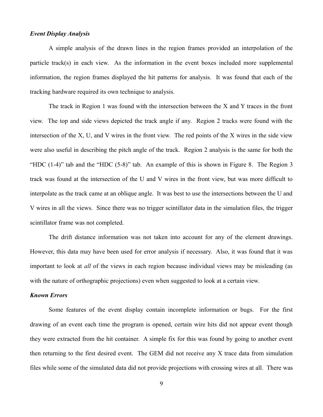#### *Event Display Analysis*

A simple analysis of the drawn lines in the region frames provided an interpolation of the particle track(s) in each view. As the information in the event boxes included more supplemental information, the region frames displayed the hit patterns for analysis. It was found that each of the tracking hardware required its own technique to analysis.

The track in Region 1 was found with the intersection between the X and Y traces in the front view. The top and side views depicted the track angle if any. Region 2 tracks were found with the intersection of the X, U, and V wires in the front view. The red points of the X wires in the side view were also useful in describing the pitch angle of the track. Region 2 analysis is the same for both the "HDC (1-4)" tab and the "HDC (5-8)" tab. An example of this is shown in Figure 8. The Region 3 track was found at the intersection of the U and V wires in the front view, but was more difficult to interpolate as the track came at an oblique angle. It was best to use the intersections between the U and V wires in all the views. Since there was no trigger scintillator data in the simulation files, the trigger scintillator frame was not completed.

The drift distance information was not taken into account for any of the element drawings. However, this data may have been used for error analysis if necessary. Also, it was found that it was important to look at *all* of the views in each region because individual views may be misleading (as with the nature of orthographic projections) even when suggested to look at a certain view.

### *Known Errors*

Some features of the event display contain incomplete information or bugs. For the first drawing of an event each time the program is opened, certain wire hits did not appear event though they were extracted from the hit container. A simple fix for this was found by going to another event then returning to the first desired event. The GEM did not receive any X trace data from simulation files while some of the simulated data did not provide projections with crossing wires at all. There was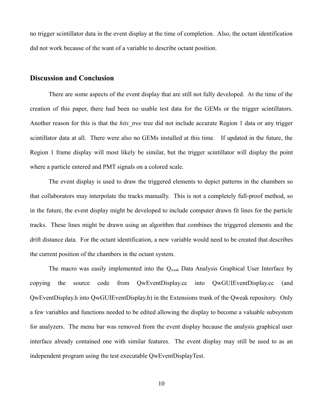no trigger scintillator data in the event display at the time of completion. Also, the octant identification did not work because of the want of a variable to describe octant position.

#### **Discussion and Conclusion**

There are some aspects of the event display that are still not fully developed. At the time of the creation of this paper, there had been no usable test data for the GEMs or the trigger scintillators. Another reason for this is that the *hits tree* tree did not include accurate Region 1 data or any trigger scintillator data at all. There were also no GEMs installed at this time. If updated in the future, the Region 1 frame display will most likely be similar, but the trigger scintillator will display the point where a particle entered and PMT signals on a colored scale.

The event display is used to draw the triggered elements to depict patterns in the chambers so that collaborators may interpolate the tracks manually. This is not a completely full-proof method, so in the future, the event display might be developed to include computer drawn fit lines for the particle tracks. These lines might be drawn using an algorithm that combines the triggered elements and the drift distance data. For the octant identification, a new variable would need to be created that describes the current position of the chambers in the octant system.

The macro was easily implemented into the Q<sub>weak</sub> Data Analysis Graphical User Interface by copying the source code from QwEventDisplay.cc into QwGUIEventDisplay.cc (and QwEventDisplay.h into QwGUIEventDisplay.h) in the Extensions trunk of the Qweak repository. Only a few variables and functions needed to be edited allowing the display to become a valuable subsystem for analyzers. The menu bar was removed from the event display because the analysis graphical user interface already contained one with similar features. The event display may still be used to as an independent program using the test executable QwEventDisplayTest.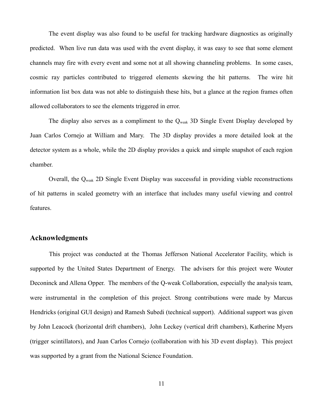The event display was also found to be useful for tracking hardware diagnostics as originally predicted. When live run data was used with the event display, it was easy to see that some element channels may fire with every event and some not at all showing channeling problems. In some cases, cosmic ray particles contributed to triggered elements skewing the hit patterns. The wire hit information list box data was not able to distinguish these hits, but a glance at the region frames often allowed collaborators to see the elements triggered in error.

The display also serves as a compliment to the  $Q_{weak}$  3D Single Event Display developed by Juan Carlos Cornejo at William and Mary. The 3D display provides a more detailed look at the detector system as a whole, while the 2D display provides a quick and simple snapshot of each region chamber.

Overall, the Qweak 2D Single Event Display was successful in providing viable reconstructions of hit patterns in scaled geometry with an interface that includes many useful viewing and control features.

## **Acknowledgments**

This project was conducted at the Thomas Jefferson National Accelerator Facility, which is supported by the United States Department of Energy. The advisers for this project were Wouter Deconinck and Allena Opper. The members of the Q-weak Collaboration, especially the analysis team, were instrumental in the completion of this project. Strong contributions were made by Marcus Hendricks (original GUI design) and Ramesh Subedi (technical support). Additional support was given by John Leacock (horizontal drift chambers), John Leckey (vertical drift chambers), Katherine Myers (trigger scintillators), and Juan Carlos Cornejo (collaboration with his 3D event display). This project was supported by a grant from the National Science Foundation.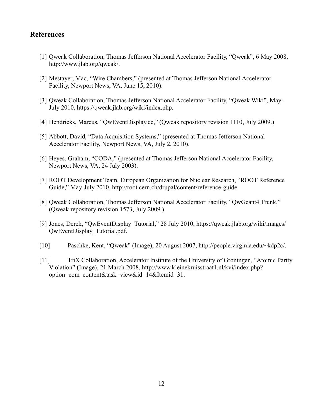## **References**

- [1] Qweak Collaboration, Thomas Jefferson National Accelerator Facility, "Qweak", 6 May 2008, http://www.jlab.org/qweak/.
- [2] Mestayer, Mac, "Wire Chambers," (presented at Thomas Jefferson National Accelerator Facility, Newport News, VA, June 15, 2010).
- [3] Qweak Collaboration, Thomas Jefferson National Accelerator Facility, "Qweak Wiki", May-July 2010, https://qweak.jlab.org/wiki/index.php.
- [4] Hendricks, Marcus, "QwEventDisplay.cc," (Qweak repository revision 1110, July 2009.)
- [5] Abbott, David, "Data Acquisition Systems," (presented at Thomas Jefferson National Accelerator Facility, Newport News, VA, July 2, 2010).
- [6] Heyes, Graham, "CODA," (presented at Thomas Jefferson National Accelerator Facility, Newport News, VA, 24 July 2003).
- [7] ROOT Development Team, European Organization for Nuclear Research, "ROOT Reference Guide," May-July 2010, http://root.cern.ch/drupal/content/reference-guide.
- [8] Qweak Collaboration, Thomas Jefferson National Accelerator Facility, "QwGeant4 Trunk," (Qweak repository revision 1573, July 2009.)
- [9] Jones, Derek, "QwEventDisplay\_Tutorial," 28 July 2010, https://qweak.jlab.org/wiki/images/ QwEventDisplay\_Tutorial.pdf.
- [10] Paschke, Kent, "Qweak" (Image), 20 August 2007, http://people.virginia.edu/~kdp2c/.
- [11] TriX Collaboration, Accelerator Institute of the University of Groningen, "Atomic Parity Violation" (Image), 21 March 2008, http://www.kleinekruisstraat1.nl/kvi/index.php? option=com\_content&task=view&id=14&Itemid=31.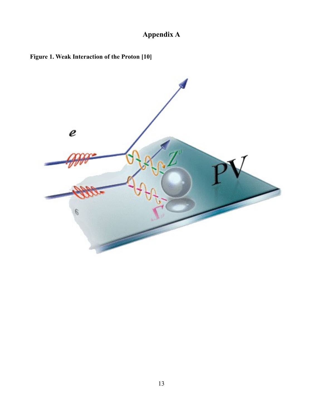# **Appendix A**



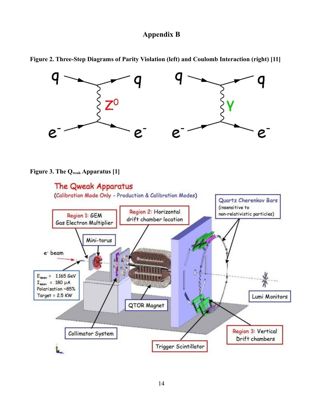## **Appendix B**



**Figure 2. Three-Step Diagrams of Parity Violation (left) and Coulomb Interaction (right) [11]**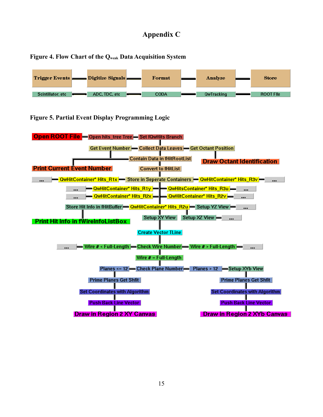## **Appendix C**





**Figure 5. Partial Event Display Programming Logic**

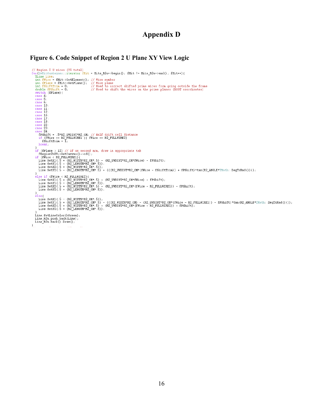## **Appendix D**

```
Figure 6. Code Snippet of Region 2 U Plane XY View Logic<br>
/soc(000011100ntainer:::tierator filt = Hits_R2u->begin(); ffit 1= Hits_R2u->end(); ffit++){<br>
Inte_Line_inte_1 Line_1 Line_1 Line_1 Line_1 Line_1 Line_1 Line_1 Li
        ese 24:<br>fPShift = .5*R2_UVDIST*R2_CM; // Half drift cell distance<br>if (fWire == R2_FULLWIREI || fWire == R2_FULLWIRE2)<br>fShiftTrim = I;
         break.
    New,<br>
if (filme > 12) // If on second arm, draw in appropriate tab<br>
if (fwire < R2 FULLWIRE1) {<br>
if (wire < R2 FULLWIRE1) {<br>
Line. SetX1(.5 - (R2 WDITH*R2 CM*.5) );<br>
Line. SetX1(.5 + (R2 WDITH*R2 CM*.5));<br>
Line. SetY2(.5 +
     LINE.SEV2(.5 - (RZ_LENGIN-RZ_CM-.5) + (((RZ_OVUISI-RZ_CM-(IWIIE - ISHILLILM)) + IFSHILL)<br>
alse if (fWire < R2_FULUTRE2){<br>
Line.SetX[(5 - (R2_UEUTRER_CM+.5) - (R2_UVUIST+R2_CM+fWire) - fPShift);<br>
Line.SetX[(5 - (R2_WIDTH+R2
    Line.SetY2(.5 + (RZ_LENGIH*RZ_CM*.5));<br>else{<br>Line.SetXI(.5 - (R2_WIDTH*R2_CM*.5));<br>Line.SetXI(.5 + (R2_LENGTH*RZ_CM*.5) - (((R2_WIDTH*R2_CM) - (R2_UVDIST*R2_CM*(fWire - R2_FULLWIRE1)) - fPShift)*tan(R2_ANGLE*TMath::DegToRa
     Line. SetLineColor (kGreen);<br>Line_R2u.push_back(Line);<br>Line_R2u.back().Draw();
 \rightarrow
```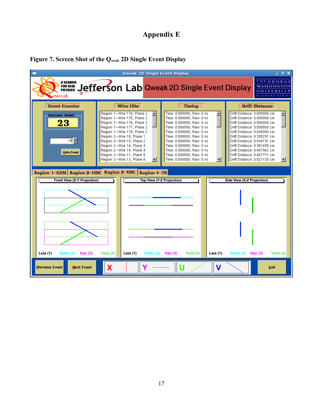# **Appendix E**



## **Figure 7. Screen Shot of the Qweak 2D Single Event Display**